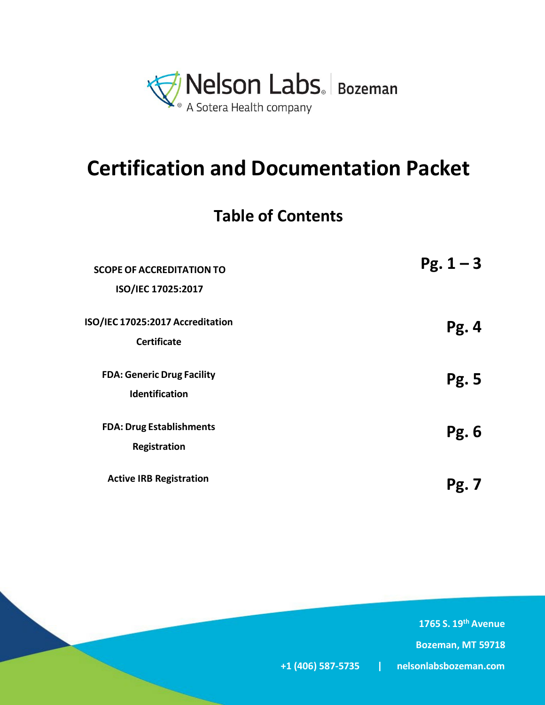

# **Certification and Documentation Packet**

## **Table of Contents**

| <b>SCOPE OF ACCREDITATION TO</b><br>ISO/IEC 17025:2017     | $Pg. 1 - 3$  |
|------------------------------------------------------------|--------------|
| ISO/IEC 17025:2017 Accreditation<br><b>Certificate</b>     | <b>Pg. 4</b> |
| <b>FDA: Generic Drug Facility</b><br><b>Identification</b> | <b>Pg. 5</b> |
| <b>FDA: Drug Establishments</b><br>Registration            | <b>Pg. 6</b> |
| <b>Active IRB Registration</b>                             | $Pg. \nI$    |

**1765 S. 19th Avenue Bozeman, MT 59718 +1 (406) 587-5735 | nelsonlabsbozeman.com**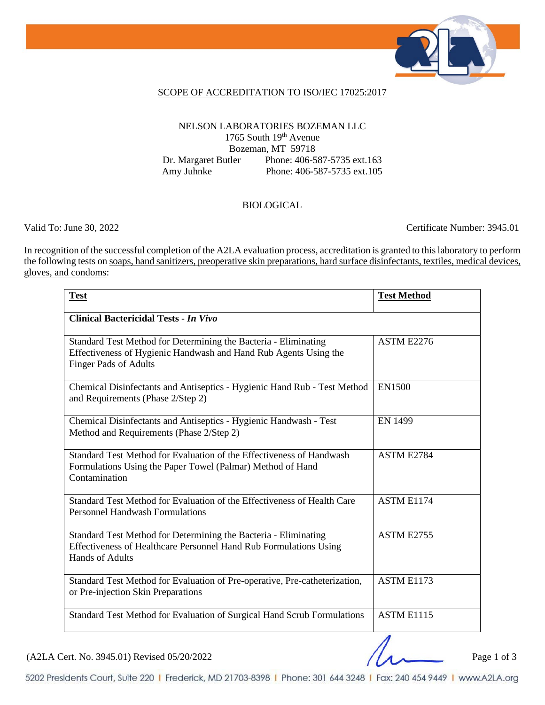

### SCOPE OF ACCREDITATION TO ISO/IEC 17025:2017

### NELSON LABORATORIES BOZEMAN LLC 1765 South  $19<sup>th</sup>$  Avenue Bozeman, MT 59718<br>Dr. Margaret Butler Phone: 406-5 Dr. Margaret Butler Phone: 406-587-5735 ext.163<br>Amy Juhnke Phone: 406-587-5735 ext.105 Phone: 406-587-5735 ext.105

### BIOLOGICAL

Valid To: June 30, 2022 Certificate Number: 3945.01

In recognition of the successful completion of the A2LA evaluation process, accreditation is granted to this laboratory to perform the following tests on soaps, hand sanitizers, preoperative skin preparations, hard surface disinfectants, textiles, medical devices, gloves, and condoms:

| <b>Test</b>                                                                                                                                                         | <b>Test Method</b> |
|---------------------------------------------------------------------------------------------------------------------------------------------------------------------|--------------------|
| <b>Clinical Bactericidal Tests - In Vivo</b>                                                                                                                        |                    |
| Standard Test Method for Determining the Bacteria - Eliminating<br>Effectiveness of Hygienic Handwash and Hand Rub Agents Using the<br><b>Finger Pads of Adults</b> | ASTM E2276         |
| Chemical Disinfectants and Antiseptics - Hygienic Hand Rub - Test Method<br>and Requirements (Phase 2/Step 2)                                                       | <b>EN1500</b>      |
| Chemical Disinfectants and Antiseptics - Hygienic Handwash - Test<br>Method and Requirements (Phase 2/Step 2)                                                       | <b>EN 1499</b>     |
| Standard Test Method for Evaluation of the Effectiveness of Handwash<br>Formulations Using the Paper Towel (Palmar) Method of Hand<br>Contamination                 | ASTM E2784         |
| Standard Test Method for Evaluation of the Effectiveness of Health Care<br><b>Personnel Handwash Formulations</b>                                                   | <b>ASTM E1174</b>  |
| Standard Test Method for Determining the Bacteria - Eliminating<br>Effectiveness of Healthcare Personnel Hand Rub Formulations Using<br><b>Hands of Adults</b>      | ASTM E2755         |
| Standard Test Method for Evaluation of Pre-operative, Pre-catheterization,<br>or Pre-injection Skin Preparations                                                    | ASTM E1173         |
| Standard Test Method for Evaluation of Surgical Hand Scrub Formulations                                                                                             | ASTM E1115         |

(A2LA Cert. No. 3945.01) Revised 05/20/2022 Page 1 of 3

5202 Presidents Court, Suite 220 | Frederick, MD 21703-8398 | Phone: 301 644 3248 | Fax: 240 454 9449 | www.A2LA.org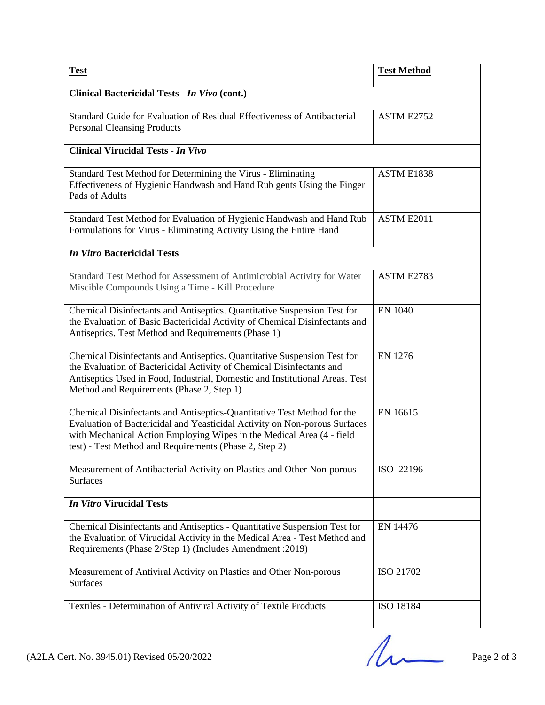| <b>Test</b>                                                                                                                                                                                                                                                                              | <b>Test Method</b> |
|------------------------------------------------------------------------------------------------------------------------------------------------------------------------------------------------------------------------------------------------------------------------------------------|--------------------|
| Clinical Bactericidal Tests - In Vivo (cont.)                                                                                                                                                                                                                                            |                    |
| Standard Guide for Evaluation of Residual Effectiveness of Antibacterial<br><b>Personal Cleansing Products</b>                                                                                                                                                                           | ASTM E2752         |
| <b>Clinical Virucidal Tests - In Vivo</b>                                                                                                                                                                                                                                                |                    |
| Standard Test Method for Determining the Virus - Eliminating<br>Effectiveness of Hygienic Handwash and Hand Rub gents Using the Finger<br>Pads of Adults                                                                                                                                 | ASTM E1838         |
| Standard Test Method for Evaluation of Hygienic Handwash and Hand Rub<br>Formulations for Virus - Eliminating Activity Using the Entire Hand                                                                                                                                             | ASTM E2011         |
| <b>In Vitro Bactericidal Tests</b>                                                                                                                                                                                                                                                       |                    |
| Standard Test Method for Assessment of Antimicrobial Activity for Water<br>Miscible Compounds Using a Time - Kill Procedure                                                                                                                                                              | ASTM E2783         |
| Chemical Disinfectants and Antiseptics. Quantitative Suspension Test for<br>the Evaluation of Basic Bactericidal Activity of Chemical Disinfectants and<br>Antiseptics. Test Method and Requirements (Phase 1)                                                                           | <b>EN 1040</b>     |
| Chemical Disinfectants and Antiseptics. Quantitative Suspension Test for<br>the Evaluation of Bactericidal Activity of Chemical Disinfectants and<br>Antiseptics Used in Food, Industrial, Domestic and Institutional Areas. Test<br>Method and Requirements (Phase 2, Step 1)           | <b>EN 1276</b>     |
| Chemical Disinfectants and Antiseptics-Quantitative Test Method for the<br>Evaluation of Bactericidal and Yeasticidal Activity on Non-porous Surfaces<br>with Mechanical Action Employing Wipes in the Medical Area (4 - field<br>test) - Test Method and Requirements (Phase 2, Step 2) | EN 16615           |
| Measurement of Antibacterial Activity on Plastics and Other Non-porous<br><b>Surfaces</b>                                                                                                                                                                                                | ISO 22196          |
| <b>In Vitro Virucidal Tests</b>                                                                                                                                                                                                                                                          |                    |
| Chemical Disinfectants and Antiseptics - Quantitative Suspension Test for<br>the Evaluation of Virucidal Activity in the Medical Area - Test Method and<br>Requirements (Phase 2/Step 1) (Includes Amendment : 2019)                                                                     | EN 14476           |
| Measurement of Antiviral Activity on Plastics and Other Non-porous<br><b>Surfaces</b>                                                                                                                                                                                                    | ISO 21702          |
| Textiles - Determination of Antiviral Activity of Textile Products                                                                                                                                                                                                                       | ISO 18184          |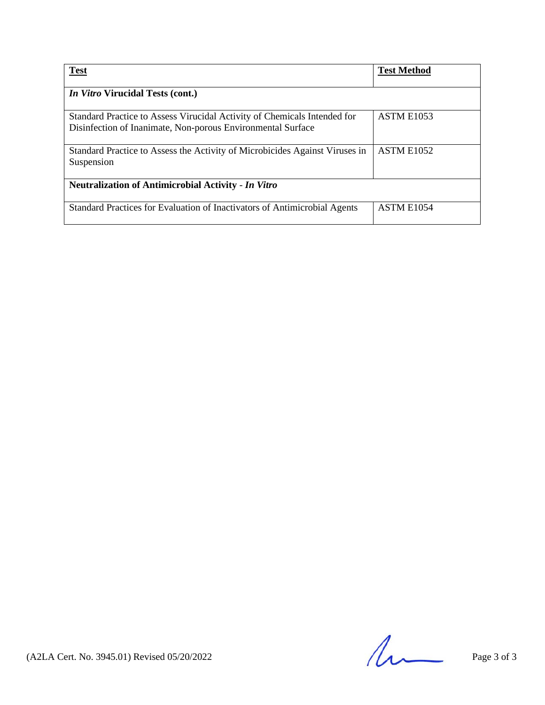| <b>Test</b>                                                                                                                             | <b>Test Method</b> |  |
|-----------------------------------------------------------------------------------------------------------------------------------------|--------------------|--|
| <i>In Vitro</i> Virucidal Tests (cont.)                                                                                                 |                    |  |
| Standard Practice to Assess Virucidal Activity of Chemicals Intended for<br>Disinfection of Inanimate, Non-porous Environmental Surface | ASTM E1053         |  |
| Standard Practice to Assess the Activity of Microbicides Against Viruses in<br>Suspension                                               | <b>ASTM E1052</b>  |  |
| <b>Neutralization of Antimicrobial Activity - In Vitro</b>                                                                              |                    |  |
| Standard Practices for Evaluation of Inactivators of Antimicrobial Agents                                                               | ASTM E1054         |  |

 $(A2LA$  Cert. No. 3945.01) Revised 05/20/2022 Page 3 of 3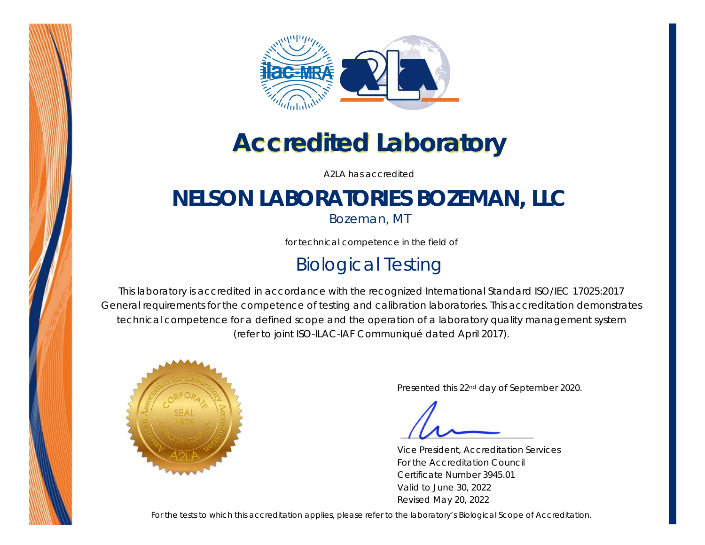



# *Accredited Laboratory*

A2LA has accredited

# **NELSON LABORATORIES BOZEMAN, LLC**

*Bozeman, MT* 

for technical competence in the field of

# Biological Testing

 This laboratory is accredited in accordance with the recognized International Standard ISO/IEC 17025:2017 *General requirements for the competence of testing and calibration laboratories*. This accreditation demonstrates technical competence for a defined scope and the operation of a laboratory quality management system (*refer to joint ISO-ILAC-IAF Communiqué dated April 2017*).



Presented this 22nd day of September 2020.

 Vice President, Accreditation Services For the Accreditation Council Certificate Number 3945.01 Valid to June 30, 2022 Revised May 20, 2022

*For the tests to which this accreditation applies, please refer to the laboratory's Biological Scope of Accreditation.*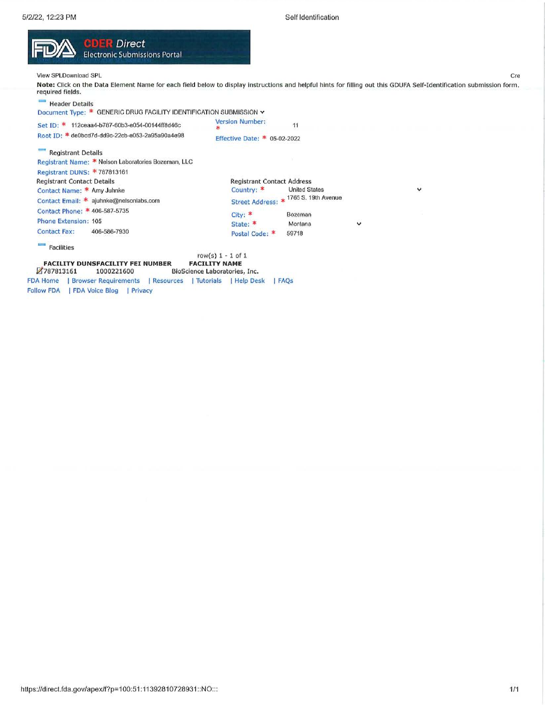Self Identification



View SPLDownload SPL

Note: Click on the Data Element Name for each field below to display instructions and helpful hints for filling out this GDUFA Self-Identification submission form. required fields.

#### Header Details

| Document Type: * GENERIC DRUG FACILITY IDENTIFICATION SUBMISSION v |                                       |                      |   |
|--------------------------------------------------------------------|---------------------------------------|----------------------|---|
| Set ID: * 112ceaa4-b787-60b3-e054-00144ff8d46c                     | <b>Version Number:</b>                | 11                   |   |
| Root ID: * de0bcd7d-dd9c-22cb-e053-2a95a90a4e98                    | Effective Date: * 05-02-2022          |                      |   |
| <b>Registrant Details</b>                                          |                                       |                      |   |
| Registrant Name: * Nelson Laboratories Bozeman, LLC                |                                       |                      |   |
| Registrant DUNS: * 787813161                                       |                                       |                      |   |
| <b>Registrant Contact Details</b>                                  | <b>Registrant Contact Address</b>     |                      |   |
| Contact Name: * Amy Juhnke                                         | Country: *                            | <b>United States</b> |   |
| Contact Email: * ajuhnke@nelsonlabs.com                            | Street Address: * 1765 S. 19th Avenue |                      |   |
| Contact Phone: * 406-587-5735                                      | City: *                               | Bozeman              |   |
| Phone Extension: 105                                               | State: *                              | Montana              | v |
| <b>Contact Fax:</b><br>406-586-7930                                | Postal Code: *                        | 59718                |   |
| <b>Facilities</b>                                                  |                                       |                      |   |

 $row(s)$  1 - 1 of 1 **FACILITY DUNSFACILITY FEI NUMBER FACILITY NAME** Z787813161 1000221600 BioScience Laboratories, Inc. FDA Home | Browser Requirements | Resources | Tutorials | Help Desk | FAQs Follow FDA | FDA Voice Blog | Privacy

Cre

 $\check{ }$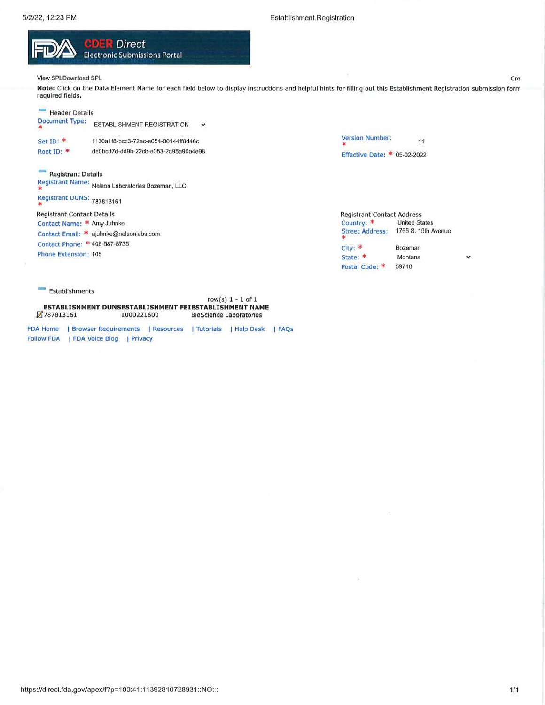Establishment Registration



#### View SPLDownload SPL

Note: Click on the Data Element Name for each field below to display instructions and helpful hints for filling out this Establishment Registration submission form required fields.

#### Header Details Document Type: ESTABLISHMENT REGISTRATION Version Number: Set ID: \* 1130a1f8-bcc3-72ec-e054-00144ff8d46c  $11$ Root ID: \* de0bcd7d-dd9b-22cb-e053-2a95a90a4e98 Effective Date: \* 05-02-2022

Registrant Details Registrant Name: Nelson Laboratories Bozeman, LLC

Registrant DUNS: 787813161

**Registrant Contact Details** Contact Name: \* Amy Juhnke Contact Email: \* ajuhnke@nelsonlabs.com Contact Phone: \* 406-587-5735 Phone Extension: 105

| <b>Registrant Contact Address</b> |                      |
|-----------------------------------|----------------------|
| Country: *                        | <b>United States</b> |
| <b>Street Address:</b>            | 1765 S. 19th Avenue  |

City: \* Bozeman State: \* Montana 59718 Postal Code: \*

#### **Comme** Establishments

|            | row(s) $1 - 1$ of 1                                   |  |  |
|------------|-------------------------------------------------------|--|--|
|            | ESTABLISHMENT DUNSESTABLISHMENT FEIESTABLISHMENT NAME |  |  |
| 1000221600 | BioScience Laboratories                               |  |  |
|            |                                                       |  |  |

FDA Home | Browser Requirements | Resources | Tutorials | Help Desk | FAQs Follow FDA | FDA Voice Blog | Privacy

Cre